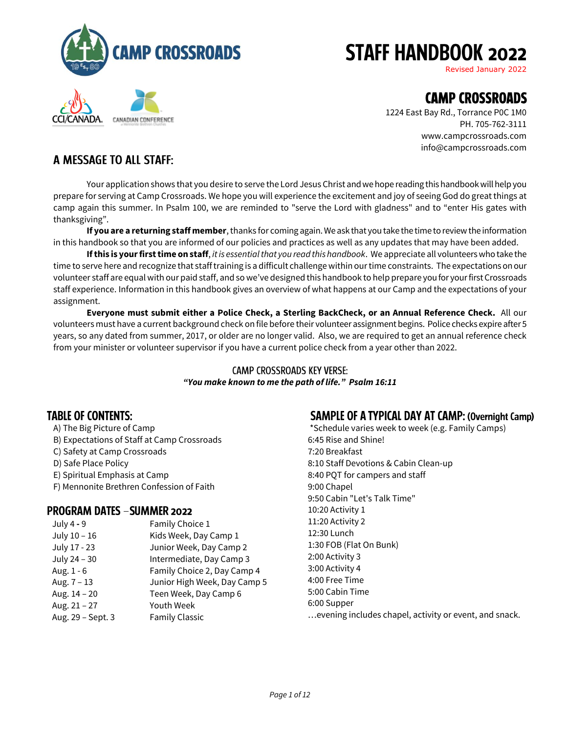

CANADIAN CONFERENCE

# **STAFF HANDBOOK 2022**

Revised January 2022

## **CAMP CROSSROADS**

1224 East Bay Rd., Torrance P0C 1M0 PH. 705-762-3111 [www.campcrossroads.com](http://www.campcrossroads.com/)  [info@campcrossroads.com](mailto:info@campcrossroads.com)

## A MESSAGE TO ALL STAFF:

Your application shows that you desire to serve the Lord Jesus Christ and we hope reading this handbook will help you prepare for serving at Camp Crossroads. We hope you will experience the excitement and joy of seeing God do great things at camp again this summer. In Psalm 100, we are reminded to "serve the Lord with gladness" and to "enter His gates with thanksgiving".

**If you are a returning staff member**, thanks for coming again. We ask that youtake the time to review the information in this handbook so that you are informed of our policies and practices as well as any updates that may have been added.

**If this is your first time on staff**, *it is essential that you read this handbook*. We appreciate all volunteers who take the time to serve here and recognize that staff training is a difficult challenge within our time constraints. The expectations on our volunteer staff are equal with our paid staff, and so we've designed this handbook to help prepare you for your first Crossroads staff experience. Information in this handbook gives an overview of what happens at our Camp and the expectations of your assignment.

**Everyone must submit either a Police Check, a Sterling BackCheck, or an Annual Reference Check.** All our volunteers must have a current background check on file before their volunteer assignmentbegins. Police checks expire after 5 years, so any dated from summer, 2017, or older are no longer valid. Also, we are required to get an annual reference check from your minister or volunteer supervisor if you have a current police check from a year other than 2022.

#### **CAMP CROSSROADS KEY VERSE:** *"You make known to me the path of life." Psalm 16:11*

## **TABLE OF CONTENTS:**

A) The Big Picture of Camp B) Expectations of Staff at Camp Crossroads C) Safety at Camp Crossroads D) Safe Place Policy E) Spiritual Emphasis at Camp F) Mennonite Brethren Confession of Faith

### **PROGRAM DATES - SUMMER 2022**

| July 4 - 9        | Family Choice 1              |
|-------------------|------------------------------|
| July 10 - 16      | Kids Week, Day Camp 1        |
| July 17 - 23      | Junior Week, Day Camp 2      |
| July 24 - 30      | Intermediate, Day Camp 3     |
| Aug. 1 - 6        | Family Choice 2, Day Camp 4  |
| Aug. $7 - 13$     | Junior High Week, Day Camp 5 |
| Aug. 14 - 20      | Teen Week, Day Camp 6        |
| Aug. 21 - 27      | Youth Week                   |
| Aug. 29 - Sept. 3 | <b>Family Classic</b>        |

## **SAMPLE OF A TYPICAL DAY AT CAMP: (Overnight Camp)**

\*Schedule varies week to week (e.g. Family Camps) 6:45 Rise and Shine! 7:20 Breakfast 8:10 Staff Devotions & Cabin Clean-up 8:40 PQT for campers and staff 9:00 Chapel 9:50 Cabin "Let's Talk Time" 10:20 Activity 1 11:20 Activity 2 12:30 Lunch 1:30 FOB (Flat On Bunk) 2:00 Activity 3 3:00 Activity 4 4:00 Free Time 5:00 Cabin Time 6:00 Supper …evening includes chapel, activity or event, and snack.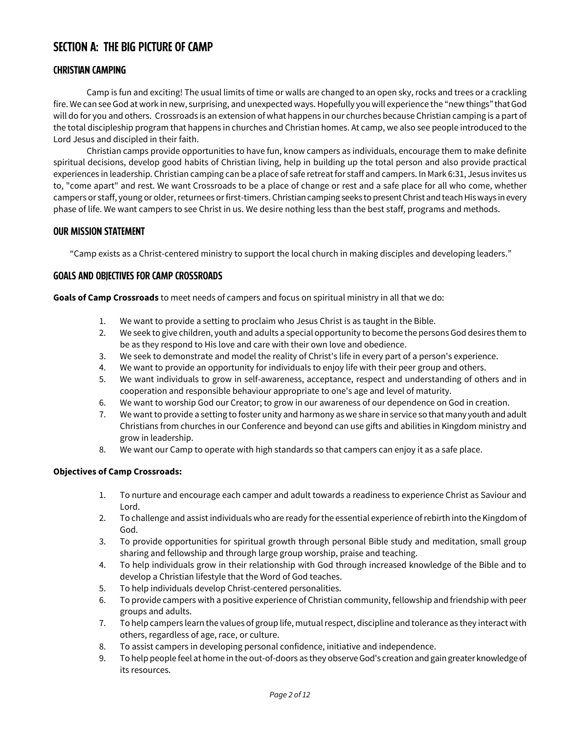## **SECTION A: THE BIG PICTURE OF CAMP**

#### **CHRISTIAN CAMPING**

Camp is fun and exciting! The usual limits of time or walls are changed to an open sky, rocks and trees or a crackling fire. We can see God at work in new, surprising, and unexpected ways. Hopefully you will experience the "new things" that God will do for you and others. Crossroads is an extension of what happens in our churches because Christian camping is a part of the total discipleship program that happens in churches and Christian homes. At camp, we also see people introduced to the Lord Jesus and discipled in their faith.

Christian camps provide opportunities to have fun, know campers as individuals, encourage them to make definite spiritual decisions, develop good habits of Christian living, help in building up the total person and also provide practical experiences in leadership. Christian camping can be a place of safe retreat for staff and campers. In Mark 6:31, Jesus invites us to, "come apart" and rest. We want Crossroads to be a place of change or rest and a safe place for all who come, whether campers or staff, young or older, returnees or first-timers. Christian camping seeks to present Christ and teach His ways in every phase of life. We want campers to see Christ in us. We desire nothing less than the best staff, programs and methods.

#### **OUR MISSION STATEMENT**

"Camp exists as a Christ-centered ministry to support the local church in making disciples and developing leaders."

#### **GOALS AND OBJECTIVES FOR CAMP CROSSROADS**

**Goals of Camp Crossroads** to meet needs of campers and focus on spiritual ministry in all that we do:

- 1. We want to provide a setting to proclaim who Jesus Christ is as taught in the Bible.
- 2. We seek to give children, youth and adults a special opportunity to become the persons God desires them to be as they respond to His love and care with their own love and obedience.
- 3. We seek to demonstrate and model the reality of Christ's life in every part of a person's experience.
- 4. We want to provide an opportunity for individuals to enjoy life with their peer group and others.
- 5. We want individuals to grow in self-awareness, acceptance, respect and understanding of others and in cooperation and responsible behaviour appropriate to one's age and level of maturity.
- 6. We want to worship God our Creator; to grow in our awareness of our dependence on God in creation.
- 7. We want to provide a setting to foster unity and harmony as we share in service so that many youth and adult Christians from churches in our Conference and beyond can use gifts and abilities in Kingdom ministry and grow in leadership.
- 8. We want our Camp to operate with high standards so that campers can enjoy it as a safe place.

#### **Objectives of Camp Crossroads:**

- 1. To nurture and encourage each camper and adult towards a readiness to experience Christ as Saviour and Lord.
- 2. To challenge and assist individuals who are ready for the essential experience of rebirth into the Kingdom of God.
- 3. To provide opportunities for spiritual growth through personal Bible study and meditation, small group sharing and fellowship and through large group worship, praise and teaching.
- 4. To help individuals grow in their relationship with God through increased knowledge of the Bible and to develop a Christian lifestyle that the Word of God teaches.
- 5. To help individuals develop Christ-centered personalities.
- 6. To provide campers with a positive experience of Christian community, fellowship and friendship with peer groups and adults.
- 7. To help campers learn the values of group life, mutual respect, discipline and tolerance as they interact with others, regardless of age, race, or culture.
- 8. To assist campers in developing personal confidence, initiative and independence.
- 9. To help people feel at home in the out-of-doors as they observe God's creation and gain greater knowledge of its resources.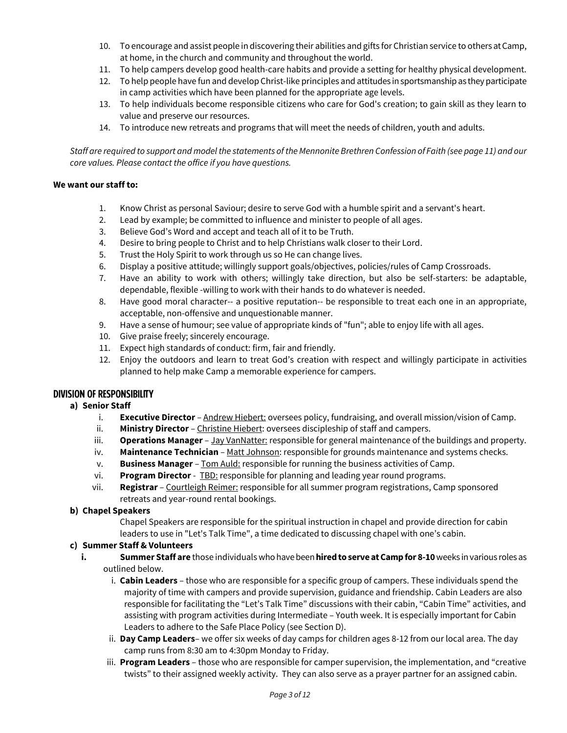- 10. To encourage and assist people in discovering their abilities and gifts for Christian service to others at Camp, at home, in the church and community and throughout the world.
- 11. To help campers develop good health-care habits and provide a setting for healthy physical development.
- 12. To help people have fun and develop Christ-like principles and attitudes in sportsmanship as they participate in camp activities which have been planned for the appropriate age levels.
- 13. To help individuals become responsible citizens who care for God's creation; to gain skill as they learn to value and preserve our resources.
- 14. To introduce new retreats and programs that will meet the needs of children, youth and adults.

*Staff are required to support and model the statements of the Mennonite Brethren Confession of Faith (see page 11) and our core values. Please contact the office if you have questions.*

#### **We want our staff to:**

- 1. Know Christ as personal Saviour; desire to serve God with a humble spirit and a servant's heart.
- 2. Lead by example; be committed to influence and minister to people of all ages.
- 3. Believe God's Word and accept and teach all of it to be Truth.
- 4. Desire to bring people to Christ and to help Christians walk closer to their Lord.
- 5. Trust the Holy Spirit to work through us so He can change lives.
- 6. Display a positive attitude; willingly support goals/objectives, policies/rules of Camp Crossroads.
- 7. Have an ability to work with others; willingly take direction, but also be self-starters: be adaptable, dependable, flexible -willing to work with their hands to do whatever is needed.
- 8. Have good moral character-- a positive reputation-- be responsible to treat each one in an appropriate, acceptable, non-offensive and unquestionable manner.
- 9. Have a sense of humour; see value of appropriate kinds of "fun"; able to enjoy life with all ages.
- 10. Give praise freely; sincerely encourage.
- 11. Expect high standards of conduct: firm, fair and friendly.
- 12. Enjoy the outdoors and learn to treat God's creation with respect and willingly participate in activities planned to help make Camp a memorable experience for campers.

#### **DIVISION OF RESPONSIBILITY**

#### **a) Senior Staff**

- i. **Executive Director** Andrew Hiebert: oversees policy, fundraising, and overall mission/vision of Camp.
- ii. **Ministry Director** Christine Hiebert: oversees discipleship of staff and campers.
- iii. **Operations Manager** Jay VanNatter: responsible for general maintenance of the buildings and property.
- iv. Maintenance Technician Matt Johnson: responsible for grounds maintenance and systems checks.
- v. **Business Manager** Tom Auld: responsible for running the business activities of Camp.
- vi. **Program Director**  TBD: responsible for planning and leading year round programs.
- vii. **Registrar** Courtleigh Reimer: responsible for all summer program registrations, Camp sponsored retreats and year-round rental bookings.

#### **b) Chapel Speakers**

Chapel Speakers are responsible for the spiritual instruction in chapel and provide direction for cabin leaders to use in "Let's Talk Time", a time dedicated to discussing chapel with one's cabin.

#### **c) Summer Staff & Volunteers**

- **i. Summer Staff are** those individuals who have been **hired toserve at Camp for 8-10** weeks in various roles as outlined below.
	- i. **Cabin Leaders**  those who are responsible for a specific group of campers. These individuals spend the majority of time with campers and provide supervision, guidance and friendship. Cabin Leaders are also responsible for facilitating the "Let's Talk Time" discussions with their cabin, "Cabin Time" activities, and assisting with program activities during Intermediate – Youth week. It is especially important for Cabin Leaders to adhere to the Safe Place Policy (see Section D).
	- ii. **Day Camp Leaders** we offer six weeks of day camps for children ages 8-12 from our local area. The day camp runs from 8:30 am to 4:30pm Monday to Friday.
	- iii. **Program Leaders** those who are responsible for camper supervision, the implementation, and "creative twists" to their assigned weekly activity. They can also serve as a prayer partner for an assigned cabin.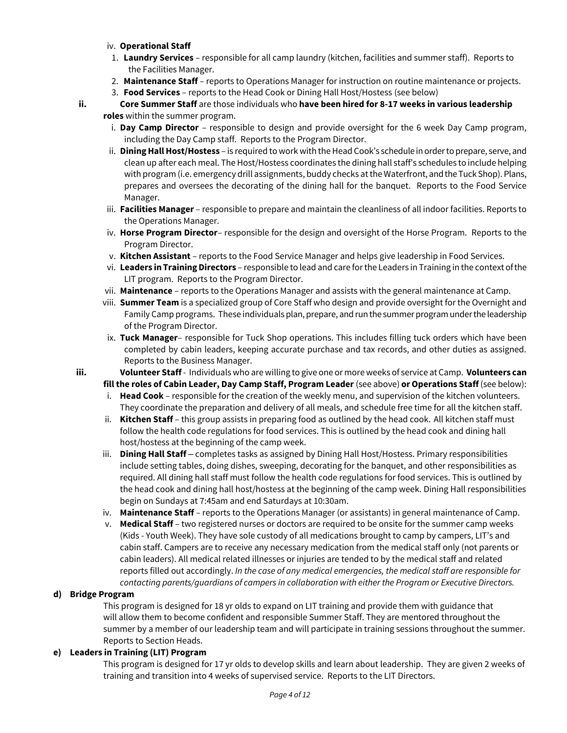#### iv. **Operational Staff**

- 1. **Laundry Services** responsible for all camp laundry (kitchen, facilities and summer staff). Reports to the Facilities Manager.
- 2. **Maintenance Staff** reports to Operations Manager for instruction on routine maintenance or projects.
- 3. **Food Services** reports to the Head Cook or Dining Hall Host/Hostess (see below)

## **ii. Core Summer Staff** are those individuals who **have been hired for 8-17 weeks in various leadership**

- **roles** within the summer program.
	- i. **Day Camp Director** responsible to design and provide oversight for the 6 week Day Camp program, including the Day Camp staff. Reports to the Program Director.
	- ii. **Dining Hall Host/Hostess**  is required to work with the Head Cook's schedule in orderto prepare, serve, and clean up after each meal. The Host/Hostess coordinates the dining hall staff's schedules to include helping with program (i.e. emergency drill assignments, buddy checks at the Waterfront, and the Tuck Shop). Plans, prepares and oversees the decorating of the dining hall for the banquet. Reports to the Food Service Manager.
	- iii. **Facilities Manager** responsible to prepare and maintain the cleanliness of all indoor facilities. Reports to the Operations Manager.
	- iv. **Horse Program Director** responsible for the design and oversight of the Horse Program. Reports to the Program Director.
	- v. **Kitchen Assistant** reports to the Food Service Manager and helps give leadership in Food Services.
	- vi. **Leaders in Training Directors** responsible to lead and care for the Leaders in Training in the context of the LIT program. Reports to the Program Director.
	- vii. **Maintenance** reports to the Operations Manager and assists with the general maintenance at Camp.
	- viii. **Summer Team** is a specialized group of Core Staff who design and provide oversight for the Overnight and Family Camp programs.These individuals plan, prepare, and run the summer program under the leadership of the Program Director.
	- ix. **Tuck Manager** responsible for Tuck Shop operations. This includes filling tuck orders which have been completed by cabin leaders, keeping accurate purchase and tax records, and other duties as assigned. Reports to the Business Manager.
- 

**iii. Volunteer Staff** - Individuals who are willing to give one or more weeks of service at Camp. **Volunteers can fill the roles of Cabin Leader, Day Camp Staff, Program Leader** (see above) **or Operations Staff** (see below):

- i. **Head Cook** responsible for the creation of the weekly menu, and supervision of the kitchen volunteers. They coordinate the preparation and delivery of all meals, and schedule free time for all the kitchen staff.
- ii. **Kitchen Staff** this group assists in preparing food as outlined by the head cook. All kitchen staff must follow the health code regulations for food services. This is outlined by the head cook and dining hall host/hostess at the beginning of the camp week.
- iii. **Dining Hall Staff** *–* completes tasks as assigned by Dining Hall Host/Hostess. Primary responsibilities include setting tables, doing dishes, sweeping, decorating for the banquet, and other responsibilities as required. All dining hall staff must follow the health code regulations for food services. This is outlined by the head cook and dining hall host/hostess at the beginning of the camp week. Dining Hall responsibilities begin on Sundays at 7:45am and end Saturdays at 10:30am.
- iv. **Maintenance Staff** reports to the Operations Manager (or assistants) in general maintenance of Camp.
- v. **Medical Staff**  two registered nurses or doctors are required to be onsite for the summer camp weeks (Kids - Youth Week). They have sole custody of all medications brought to camp by campers, LIT's and cabin staff. Campers are to receive any necessary medication from the medical staff only (not parents or cabin leaders). All medical related illnesses or injuries are tended to by the medical staff and related reports filled out accordingly. *In the case of any medical emergencies, the medical staff are responsible for contacting parents/guardians of campers in collaboration with either the Program or Executive Directors.*

#### **d) Bridge Program**

This program is designed for 18 yr olds to expand on LIT training and provide them with guidance that will allow them to become confident and responsible Summer Staff. They are mentored throughout the summer by a member of our leadership team and will participate in training sessions throughout the summer. Reports to Section Heads.

#### **e) Leaders in Training (LIT) Program**

This program is designed for 17 yr olds to develop skills and learn about leadership. They are given 2 weeks of training and transition into 4 weeks of supervised service. Reports to the LIT Directors.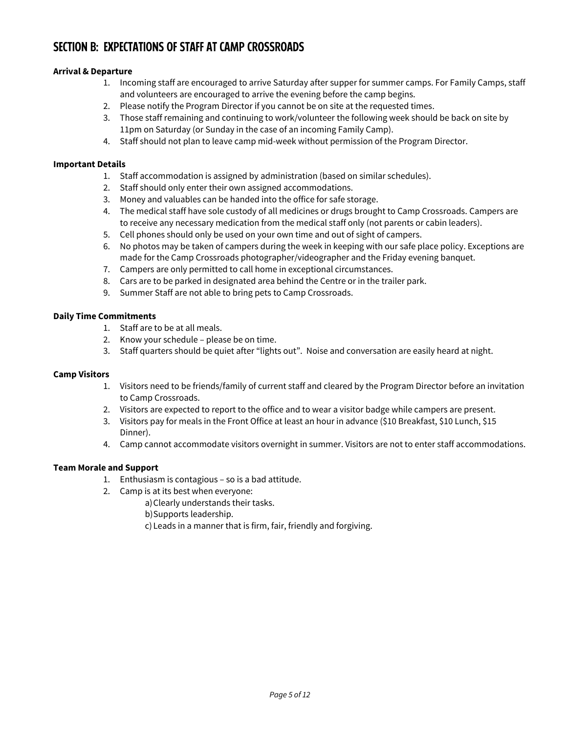## **SECTION B: EXPECTATIONS OF STAFF AT CAMP CROSSROADS**

#### **Arrival & Departure**

- 1. Incoming staff are encouraged to arrive Saturday after supper for summer camps. For Family Camps, staff and volunteers are encouraged to arrive the evening before the camp begins.
- 2. Please notify the Program Director if you cannot be on site at the requested times.
- 3. Those staff remaining and continuing to work/volunteer the following week should be back on site by 11pm on Saturday (or Sunday in the case of an incoming Family Camp).
- 4. Staff should not plan to leave camp mid-week without permission of the Program Director.

#### **Important Details**

- 1. Staff accommodation is assigned by administration (based on similar schedules).
- 2. Staff should only enter their own assigned accommodations.
- 3. Money and valuables can be handed into the office for safe storage.
- 4. The medical staff have sole custody of all medicines or drugs brought to Camp Crossroads. Campers are to receive any necessary medication from the medical staff only (not parents or cabin leaders).
- 5. Cell phones should only be used on your own time and out of sight of campers.
- 6. No photos may be taken of campers during the week in keeping with our safe place policy. Exceptions are made for the Camp Crossroads photographer/videographer and the Friday evening banquet.
- 7. Campers are only permitted to call home in exceptional circumstances.
- 8. Cars are to be parked in designated area behind the Centre or in the trailer park.
- 9. Summer Staff are not able to bring pets to Camp Crossroads.

#### **Daily Time Commitments**

- 1. Staff are to be at all meals.
- 2. Know your schedule please be on time.
- 3. Staff quarters should be quiet after "lights out". Noise and conversation are easily heard at night.

#### **Camp Visitors**

- 1. Visitors need to be friends/family of current staff and cleared by the Program Director before an invitation to Camp Crossroads.
- 2. Visitors are expected to report to the office and to wear a visitor badge while campers are present.
- 3. Visitors pay for meals in the Front Office at least an hour in advance (\$10 Breakfast, \$10 Lunch, \$15 Dinner).
- 4. Camp cannot accommodate visitors overnight in summer. Visitors are not to enter staff accommodations.

#### **Team Morale and Support**

- 1. Enthusiasm is contagious so is a bad attitude.
- 2. Camp is at its best when everyone:
	- a)Clearly understands their tasks.
	- b)Supports leadership.
	- c) Leads in a manner that is firm, fair, friendly and forgiving.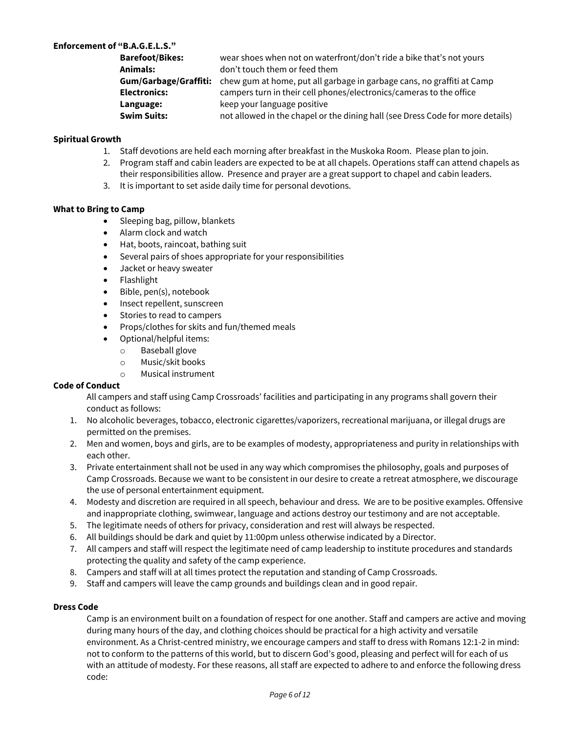#### **Enforcement of "B.A.G.E.L.S."**

| <b>Barefoot/Bikes:</b> | wear shoes when not on waterfront/don't ride a bike that's not yours                                |
|------------------------|-----------------------------------------------------------------------------------------------------|
| Animals:               | don't touch them or feed them                                                                       |
|                        | <b>Gum/Garbage/Graffiti:</b> chew gum at home, put all garbage in garbage cans, no graffiti at Camp |
| <b>Electronics:</b>    | campers turn in their cell phones/electronics/cameras to the office                                 |
| Language:              | keep your language positive                                                                         |
| <b>Swim Suits:</b>     | not allowed in the chapel or the dining hall (see Dress Code for more details)                      |

#### **Spiritual Growth**

- 1. Staff devotions are held each morning after breakfast in the Muskoka Room. Please plan to join.
- 2. Program staff and cabin leaders are expected to be at all chapels. Operations staff can attend chapels as their responsibilities allow. Presence and prayer are a great support to chapel and cabin leaders.
- 3. It is important to set aside daily time for personal devotions.

#### **What to Bring to Camp**

- Sleeping bag, pillow, blankets
- Alarm clock and watch
- Hat, boots, raincoat, bathing suit
- Several pairs of shoes appropriate for your responsibilities
- Jacket or heavy sweater
- Flashlight
- Bible, pen(s), notebook
- Insect repellent, sunscreen
- Stories to read to campers
- Props/clothes for skits and fun/themed meals
- Optional/helpful items:
	- o Baseball glove
	- o Music/skit books
	- o Musical instrument

#### **Code of Conduct**

All campers and staff using Camp Crossroads' facilities and participating in any programs shall govern their conduct as follows:

- 1. No alcoholic beverages, tobacco, electronic cigarettes/vaporizers, recreational marijuana, or illegal drugs are permitted on the premises.
- 2. Men and women, boys and girls, are to be examples of modesty, appropriateness and purity in relationships with each other.
- 3. Private entertainment shall not be used in any way which compromises the philosophy, goals and purposes of Camp Crossroads. Because we want to be consistent in our desire to create a retreat atmosphere, we discourage the use of personal entertainment equipment.
- 4. Modesty and discretion are required in all speech, behaviour and dress. We are to be positive examples. Offensive and inappropriate clothing, swimwear, language and actions destroy our testimony and are not acceptable.
- 5. The legitimate needs of others for privacy, consideration and rest will always be respected.
- 6. All buildings should be dark and quiet by 11:00pm unless otherwise indicated by a Director.
- 7. All campers and staff will respect the legitimate need of camp leadership to institute procedures and standards protecting the quality and safety of the camp experience.
- 8. Campers and staff will at all times protect the reputation and standing of Camp Crossroads.
- 9. Staff and campers will leave the camp grounds and buildings clean and in good repair.

#### **Dress Code**

Camp is an environment built on a foundation of respect for one another. Staff and campers are active and moving during many hours of the day, and clothing choices should be practical for a high activity and versatile environment. As a Christ-centred ministry, we encourage campers and staff to dress with Romans 12:1-2 in mind: not to conform to the patterns of this world, but to discern God's good, pleasing and perfect will for each of us with an attitude of modesty. For these reasons, all staff are expected to adhere to and enforce the following dress code: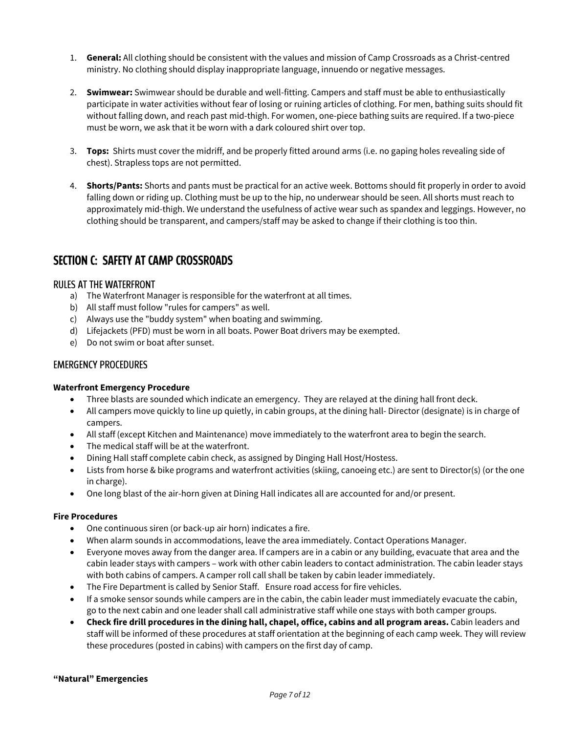- 1. **General:** All clothing should be consistent with the values and mission of Camp Crossroads as a Christ-centred ministry. No clothing should display inappropriate language, innuendo or negative messages.
- 2. **Swimwear:** Swimwear should be durable and well-fitting. Campers and staff must be able to enthusiastically participate in water activities without fear of losing or ruining articles of clothing. For men, bathing suits should fit without falling down, and reach past mid-thigh. For women, one-piece bathing suits are required. If a two-piece must be worn, we ask that it be worn with a dark coloured shirt over top.
- 3. **Tops:** Shirts must cover the midriff, and be properly fitted around arms (i.e. no gaping holes revealing side of chest). Strapless tops are not permitted.
- 4. **Shorts/Pants:** Shorts and pants must be practical for an active week. Bottoms should fit properly in order to avoid falling down or riding up. Clothing must be up to the hip, no underwear should be seen. All shorts must reach to approximately mid-thigh. We understand the usefulness of active wear such as spandex and leggings. However, no clothing should be transparent, and campers/staff may be asked to change if their clothing is too thin.

## **SECTION C: SAFETY AT CAMP CROSSROADS**

#### **RULES AT THE WATERFRONT**

- a) The Waterfront Manager is responsible for the waterfront at all times.
- b) All staff must follow "rules for campers" as well.
- c) Always use the "buddy system" when boating and swimming.
- d) Lifejackets (PFD) must be worn in all boats. Power Boat drivers may be exempted.
- e) Do not swim or boat after sunset.

#### **EMERGENCY PROCEDURES**

#### **Waterfront Emergency Procedure**

- Three blasts are sounded which indicate an emergency. They are relayed at the dining hall front deck.
- All campers move quickly to line up quietly, in cabin groups, at the dining hall- Director (designate) is in charge of campers.
- All staff (except Kitchen and Maintenance) move immediately to the waterfront area to begin the search.
- The medical staff will be at the waterfront.
- Dining Hall staff complete cabin check, as assigned by Dinging Hall Host/Hostess.
- Lists from horse & bike programs and waterfront activities (skiing, canoeing etc.) are sent to Director(s) (or the one in charge).
- One long blast of the air-horn given at Dining Hall indicates all are accounted for and/or present.

#### **Fire Procedures**

- One continuous siren (or back-up air horn) indicates a fire.
- When alarm sounds in accommodations, leave the area immediately. Contact Operations Manager.
- Everyone moves away from the danger area. If campers are in a cabin or any building, evacuate that area and the cabin leader stays with campers – work with other cabin leaders to contact administration. The cabin leader stays with both cabins of campers. A camper roll call shall be taken by cabin leader immediately.
- The Fire Department is called by Senior Staff. Ensure road access for fire vehicles.
- If a smoke sensor sounds while campers are in the cabin, the cabin leader must immediately evacuate the cabin, go to the next cabin and one leader shall call administrative staff while one stays with both camper groups.
- **Check fire drill procedures in the dining hall, chapel, office, cabins and all program areas.** Cabin leaders and staff will be informed of these procedures at staff orientation at the beginning of each camp week. They will review these procedures (posted in cabins) with campers on the first day of camp.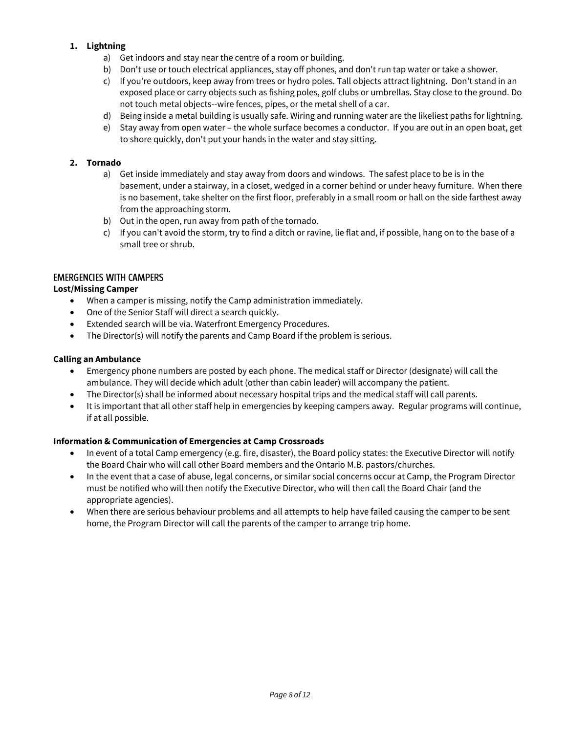#### **1. Lightning**

- a) Get indoors and stay near the centre of a room or building.
- b) Don't use or touch electrical appliances, stay off phones, and don't run tap water or take a shower.
- c) If you're outdoors, keep away from trees or hydro poles. Tall objects attract lightning. Don't stand in an exposed place or carry objects such as fishing poles, golf clubs or umbrellas. Stay close to the ground. Do not touch metal objects--wire fences, pipes, or the metal shell of a car.
- d) Being inside a metal building is usually safe. Wiring and running water are the likeliest paths for lightning.
- e) Stay away from open water the whole surface becomes a conductor. If you are out in an open boat, get to shore quickly, don't put your hands in the water and stay sitting.

#### **2. Tornado**

- a) Get inside immediately and stay away from doors and windows. The safest place to be is in the basement, under a stairway, in a closet, wedged in a corner behind or under heavy furniture. When there is no basement, take shelter on the first floor, preferably in a small room or hall on the side farthest away from the approaching storm.
- b) Out in the open, run away from path of the tornado.
- c) If you can't avoid the storm, try to find a ditch or ravine, lie flat and, if possible, hang on to the base of a small tree or shrub.

#### **EMERGENCIES WITH CAMPERS**

#### **Lost/Missing Camper**

- When a camper is missing, notify the Camp administration immediately.
- One of the Senior Staff will direct a search quickly.
- Extended search will be via. Waterfront Emergency Procedures.
- The Director(s) will notify the parents and Camp Board if the problem is serious.

#### **Calling an Ambulance**

- Emergency phone numbers are posted by each phone. The medical staff or Director (designate) will call the ambulance. They will decide which adult (other than cabin leader) will accompany the patient.
- The Director(s) shall be informed about necessary hospital trips and the medical staff will call parents.
- It is important that all other staff help in emergencies by keeping campers away. Regular programs will continue, if at all possible.

#### **Information & Communication of Emergencies at Camp Crossroads**

- In event of a total Camp emergency (e.g. fire, disaster), the Board policy states: the Executive Director will notify the Board Chair who will call other Board members and the Ontario M.B. pastors/churches.
- In the event that a case of abuse, legal concerns, or similar social concerns occur at Camp, the Program Director must be notified who will then notify the Executive Director, who will then call the Board Chair (and the appropriate agencies).
- When there are serious behaviour problems and all attempts to help have failed causing the camper to be sent home, the Program Director will call the parents of the camper to arrange trip home.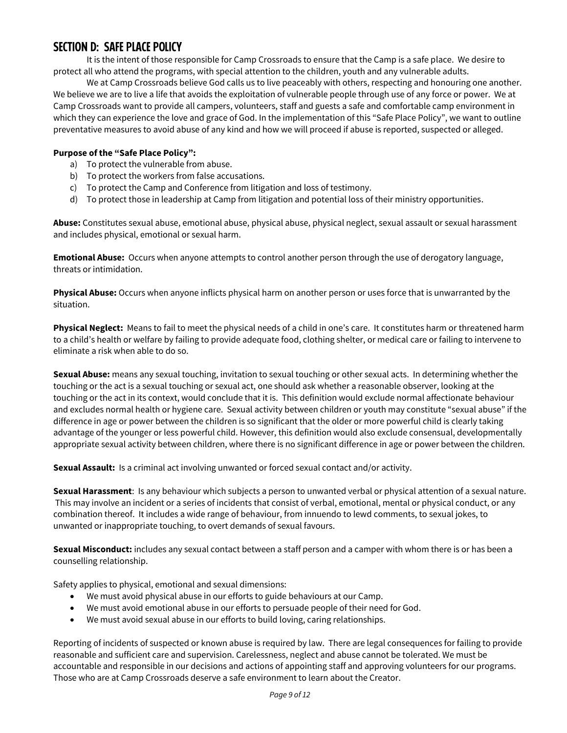## **SECTION D: SAFE PLACE POLICY**

It is the intent of those responsible for Camp Crossroads to ensure that the Camp is a safe place. We desire to protect all who attend the programs, with special attention to the children, youth and any vulnerable adults.

We at Camp Crossroads believe God calls us to live peaceably with others, respecting and honouring one another. We believe we are to live a life that avoids the exploitation of vulnerable people through use of any force or power. We at Camp Crossroads want to provide all campers, volunteers, staff and guests a safe and comfortable camp environment in which they can experience the love and grace of God. In the implementation of this "Safe Place Policy", we want to outline preventative measures to avoid abuse of any kind and how we will proceed if abuse is reported, suspected or alleged.

#### **Purpose of the "Safe Place Policy":**

- a) To protect the vulnerable from abuse.
- b) To protect the workers from false accusations.
- c) To protect the Camp and Conference from litigation and loss of testimony.
- d) To protect those in leadership at Camp from litigation and potential loss of their ministry opportunities.

**Abuse:** Constitutes sexual abuse, emotional abuse, physical abuse, physical neglect, sexual assault or sexual harassment and includes physical, emotional or sexual harm.

**Emotional Abuse:** Occurs when anyone attempts to control another person through the use of derogatory language, threats or intimidation.

**Physical Abuse:** Occurs when anyone inflicts physical harm on another person or uses force that is unwarranted by the situation.

**Physical Neglect:** Means to fail to meet the physical needs of a child in one's care. It constitutes harm or threatened harm to a child's health or welfare by failing to provide adequate food, clothing shelter, or medical care or failing to intervene to eliminate a risk when able to do so.

**Sexual Abuse:** means any sexual touching, invitation to sexual touching or other sexual acts. In determining whether the touching or the act is a sexual touching or sexual act, one should ask whether a reasonable observer, looking at the touching or the act in its context, would conclude that it is. This definition would exclude normal affectionate behaviour and excludes normal health or hygiene care. Sexual activity between children or youth may constitute "sexual abuse" if the difference in age or power between the children is so significant that the older or more powerful child is clearly taking advantage of the younger or less powerful child. However, this definition would also exclude consensual, developmentally appropriate sexual activity between children, where there is no significant difference in age or power between the children.

**Sexual Assault:** Is a criminal act involving unwanted or forced sexual contact and/or activity.

**Sexual Harassment**: Is any behaviour which subjects a person to unwanted verbal or physical attention of a sexual nature. This may involve an incident or a series of incidents that consist of verbal, emotional, mental or physical conduct, or any combination thereof. It includes a wide range of behaviour, from innuendo to lewd comments, to sexual jokes, to unwanted or inappropriate touching, to overt demands of sexual favours.

**Sexual Misconduct:** includes any sexual contact between a staff person and a camper with whom there is or has been a counselling relationship.

Safety applies to physical, emotional and sexual dimensions:

- We must avoid physical abuse in our efforts to guide behaviours at our Camp.
- We must avoid emotional abuse in our efforts to persuade people of their need for God.
- We must avoid sexual abuse in our efforts to build loving, caring relationships.

Reporting of incidents of suspected or known abuse is required by law. There are legal consequences for failing to provide reasonable and sufficient care and supervision. Carelessness, neglect and abuse cannot be tolerated. We must be accountable and responsible in our decisions and actions of appointing staff and approving volunteers for our programs. Those who are at Camp Crossroads deserve a safe environment to learn about the Creator.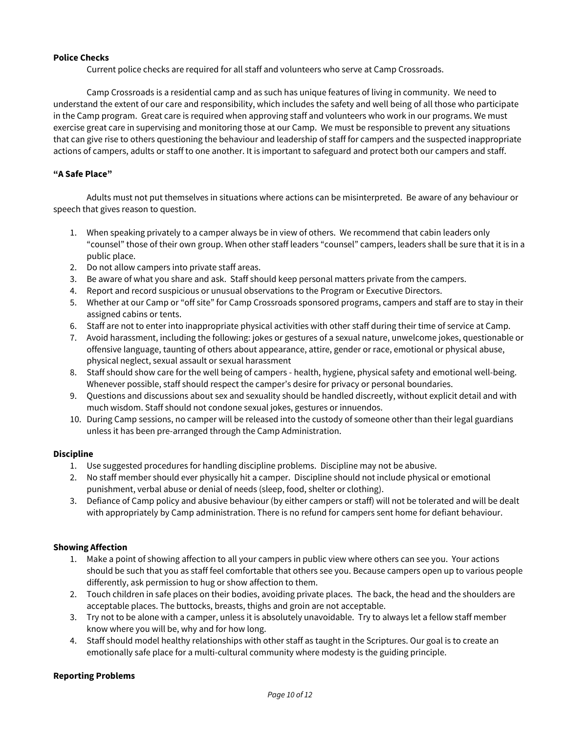#### **Police Checks**

Current police checks are required for all staff and volunteers who serve at Camp Crossroads.

Camp Crossroads is a residential camp and as such has unique features of living in community. We need to understand the extent of our care and responsibility, which includes the safety and well being of all those who participate in the Camp program. Great care is required when approving staff and volunteers who work in our programs. We must exercise great care in supervising and monitoring those at our Camp. We must be responsible to prevent any situations that can give rise to others questioning the behaviour and leadership of staff for campers and the suspected inappropriate actions of campers, adults or staff to one another. It is important to safeguard and protect both our campers and staff.

#### **"A Safe Place"**

Adults must not put themselves in situations where actions can be misinterpreted. Be aware of any behaviour or speech that gives reason to question.

- 1. When speaking privately to a camper always be in view of others. We recommend that cabin leaders only "counsel" those of their own group. When other staff leaders "counsel" campers, leaders shall be sure that it is in a public place.
- 2. Do not allow campers into private staff areas.
- 3. Be aware of what you share and ask. Staff should keep personal matters private from the campers.
- 4. Report and record suspicious or unusual observations to the Program or Executive Directors.
- 5. Whether at our Camp or "off site" for Camp Crossroads sponsored programs, campers and staff are to stay in their assigned cabins or tents.
- 6. Staff are not to enter into inappropriate physical activities with other staff during their time of service at Camp.
- 7. Avoid harassment, including the following: jokes or gestures of a sexual nature, unwelcome jokes, questionable or offensive language, taunting of others about appearance, attire, gender or race, emotional or physical abuse, physical neglect, sexual assault or sexual harassment
- 8. Staff should show care for the well being of campers health, hygiene, physical safety and emotional well-being. Whenever possible, staff should respect the camper's desire for privacy or personal boundaries.
- 9. Questions and discussions about sex and sexuality should be handled discreetly, without explicit detail and with much wisdom. Staff should not condone sexual jokes, gestures or innuendos.
- 10. During Camp sessions, no camper will be released into the custody of someone other than their legal guardians unless it has been pre-arranged through the Camp Administration.

#### **Discipline**

- 1. Use suggested procedures for handling discipline problems. Discipline may not be abusive.
- 2. No staff member should ever physically hit a camper. Discipline should not include physical or emotional punishment, verbal abuse or denial of needs (sleep, food, shelter or clothing).
- 3. Defiance of Camp policy and abusive behaviour (by either campers or staff) will not be tolerated and will be dealt with appropriately by Camp administration. There is no refund for campers sent home for defiant behaviour.

#### **Showing Affection**

- 1. Make a point of showing affection to all your campers in public view where others can see you. Your actions should be such that you as staff feel comfortable that others see you. Because campers open up to various people differently, ask permission to hug or show affection to them.
- 2. Touch children in safe places on their bodies, avoiding private places. The back, the head and the shoulders are acceptable places. The buttocks, breasts, thighs and groin are not acceptable.
- 3. Try not to be alone with a camper, unless it is absolutely unavoidable. Try to always let a fellow staff member know where you will be, why and for how long.
- 4. Staff should model healthy relationships with other staff as taught in the Scriptures. Our goal is to create an emotionally safe place for a multi-cultural community where modesty is the guiding principle.

#### **Reporting Problems**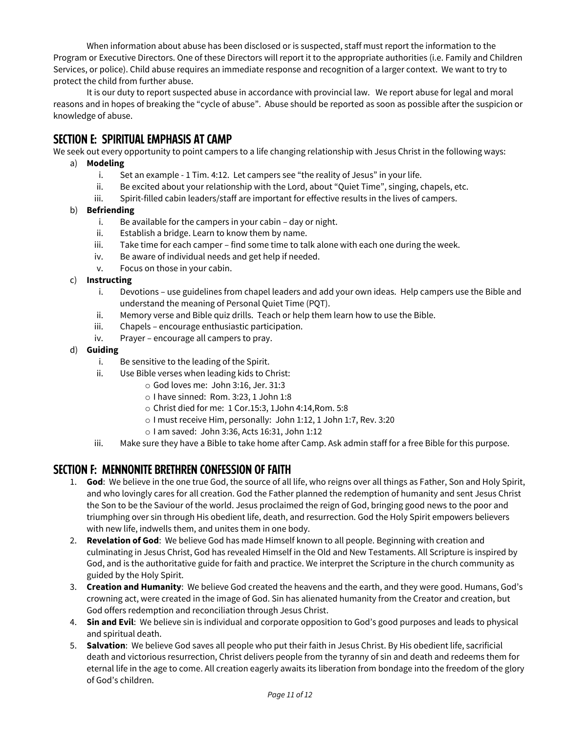When information about abuse has been disclosed or is suspected, staff must report the information to the Program or Executive Directors. One of these Directors will report it to the appropriate authorities (i.e. Family and Children Services, or police). Child abuse requires an immediate response and recognition of a larger context. We want to try to protect the child from further abuse.

It is our duty to report suspected abuse in accordance with provincial law. We report abuse for legal and moral reasons and in hopes of breaking the "cycle of abuse". Abuse should be reported as soon as possible after the suspicion or knowledge of abuse.

## **SECTION E: SPIRITUAL EMPHASIS AT CAMP**

We seek out every opportunity to point campers to a life changing relationship with Jesus Christ in the following ways:

#### a) **Modeling**

- i. Set an example 1 Tim. 4:12. Let campers see "the reality of Jesus" in your life.
- ii. Be excited about your relationship with the Lord, about "Quiet Time", singing, chapels, etc.
- iii. Spirit-filled cabin leaders/staff are important for effective results in the lives of campers.

#### b) **Befriending**

- i. Be available for the campers in your cabin day or night.
- ii. Establish a bridge. Learn to know them by name.
- iii. Take time for each camper find some time to talk alone with each one during the week.
- iv. Be aware of individual needs and get help if needed.
- v. Focus on those in your cabin.

#### c) **Instructing**

- i. Devotions use guidelines from chapel leaders and add your own ideas. Help campers use the Bible and understand the meaning of Personal Quiet Time (PQT).
- ii. Memory verse and Bible quiz drills. Teach or help them learn how to use the Bible.
- iii. Chapels encourage enthusiastic participation.
- iv. Prayer encourage all campers to pray.
- d) **Guiding**
	- i. Be sensitive to the leading of the Spirit.
	- ii. Use Bible verses when leading kids to Christ:
		- o God loves me: John 3:16, Jer. 31:3
		- o I have sinned: Rom. 3:23, 1 John 1:8
		- o Christ died for me: 1 Cor.15:3, 1John 4:14,Rom. 5:8
		- o I must receive Him, personally: John 1:12, 1 John 1:7, Rev. 3:20
		- o I am saved: John 3:36, Acts 16:31, John 1:12
	- iii. Make sure they have a Bible to take home after Camp. Ask admin staff for a free Bible for this purpose.

## **SECTION F: MENNONITE BRETHREN CONFESSION OF FAITH**

- 1. **[God](http://www.mbconf.ca/believe/confession/god.en.html)**: We believe in the one true God, the source of all life, who reigns over all things as Father, Son and Holy Spirit, and who lovingly cares for all creation. God the Father planned the redemption of humanity and sent Jesus Christ the Son to be the Saviour of the world. Jesus proclaimed the reign of God, bringing good news to the poor and triumphing over sin through His obedient life, death, and resurrection. God the Holy Spirit empowers believers with new life, indwells them, and unites them in one body.
- 2. **[Revelation of God](http://www.mbconf.ca/believe/confession/revelation.en.html)**: We believe God has made Himself known to all people. Beginning with creation and culminating in Jesus Christ, God has revealed Himself in the Old and New Testaments. All Scripture is inspired by God, and is the authoritative guide for faith and practice. We interpret the Scripture in the church community as guided by the Holy Spirit.
- 3. **Creation and Humanity**: We believe God created the heavens and the earth, and they were good. Humans, God's crowning act, were created in the image of God. Sin has alienated humanity from the Creator and creation, but God offers redemption and reconciliation through Jesus Christ.
- 4. **Sin and Evil**: We believe sin is individual and corporate opposition to God's good purposes and leads to physical and spiritual death.
- 5. **Salvation**: We believe God saves all people who put their faith in Jesus Christ. By His obedient life, sacrificial death and victorious resurrection, Christ delivers people from the tyranny of sin and death and redeems them for eternal life in the age to come. All creation eagerly awaits its liberation from bondage into the freedom of the glory of God's children.